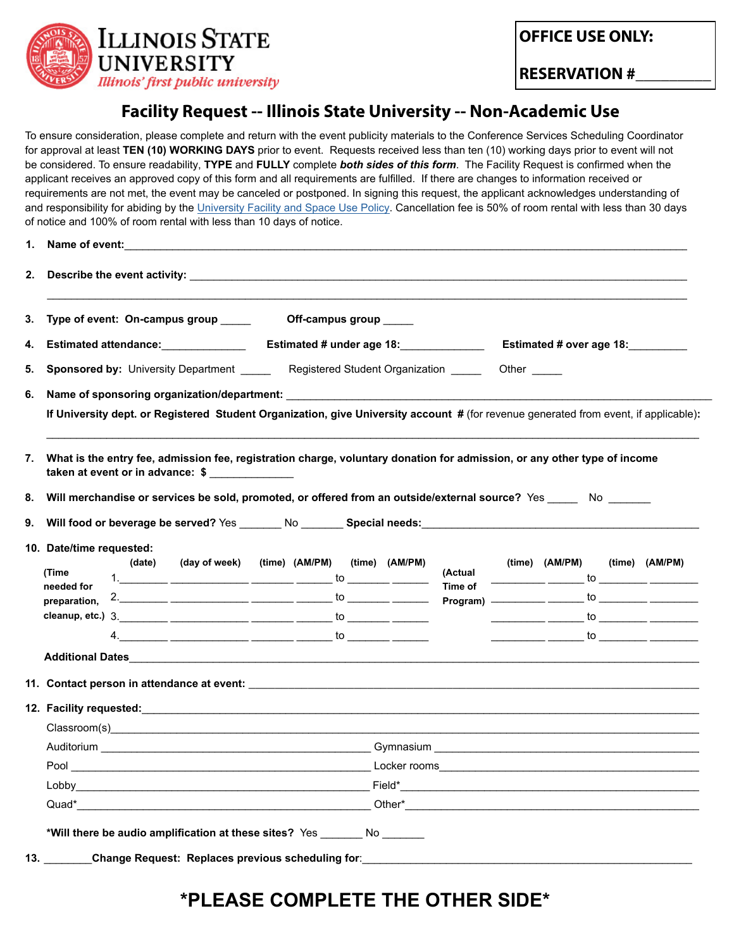

**OFFICE USE ONLY:**

**RESERVATION #\_\_\_\_\_\_\_\_\_**

## **Facility Request -- Illinois State University -- Non-Academic Use**

To ensure consideration, please complete and return with the event publicity materials to the Conference Services Scheduling Coordinator for approval at least **TEN (10) WORKING DAYS** prior to event. Requests received less than ten (10) working days prior to event will not be considered. To ensure readability, **TYPE** and **FULLY** complete *both sides of this form*. The Facility Request is confirmed when the applicant receives an approved copy of this form and all requirements are fulfilled. If there are changes to information received or requirements are not met, the event may be canceled or postponed. In signing this request, the applicant acknowledges understanding of and responsibility for abiding by the [University Facility and Space Use Policy](https://illinoisstate.edu/about/facility-space-use/). Cancellation fee is 50% of room rental with less than 30 days of notice and 100% of room rental with less than 10 days of notice.

| 3. | Type of event: On-campus group _____<br>Off-campus group _____                                                                                                                                                                 |  |                                                                                                                                                                                                                                                                                                                        |  |  |                                         |  |                |  |                                                                                                                                                                                                                                                                                                                                                                                                                                                                                                                                                                                                                                                                                                                                                                                                                                                 |  |  |
|----|--------------------------------------------------------------------------------------------------------------------------------------------------------------------------------------------------------------------------------|--|------------------------------------------------------------------------------------------------------------------------------------------------------------------------------------------------------------------------------------------------------------------------------------------------------------------------|--|--|-----------------------------------------|--|----------------|--|-------------------------------------------------------------------------------------------------------------------------------------------------------------------------------------------------------------------------------------------------------------------------------------------------------------------------------------------------------------------------------------------------------------------------------------------------------------------------------------------------------------------------------------------------------------------------------------------------------------------------------------------------------------------------------------------------------------------------------------------------------------------------------------------------------------------------------------------------|--|--|
| 4. |                                                                                                                                                                                                                                |  |                                                                                                                                                                                                                                                                                                                        |  |  | Estimated # over age 18:<br>Other _____ |  |                |  |                                                                                                                                                                                                                                                                                                                                                                                                                                                                                                                                                                                                                                                                                                                                                                                                                                                 |  |  |
| 5. |                                                                                                                                                                                                                                |  |                                                                                                                                                                                                                                                                                                                        |  |  |                                         |  |                |  |                                                                                                                                                                                                                                                                                                                                                                                                                                                                                                                                                                                                                                                                                                                                                                                                                                                 |  |  |
|    | <b>Sponsored by:</b> University Department _______ Registered Student Organization _____                                                                                                                                       |  |                                                                                                                                                                                                                                                                                                                        |  |  |                                         |  |                |  |                                                                                                                                                                                                                                                                                                                                                                                                                                                                                                                                                                                                                                                                                                                                                                                                                                                 |  |  |
| 6. |                                                                                                                                                                                                                                |  |                                                                                                                                                                                                                                                                                                                        |  |  |                                         |  |                |  |                                                                                                                                                                                                                                                                                                                                                                                                                                                                                                                                                                                                                                                                                                                                                                                                                                                 |  |  |
|    | If University dept. or Registered Student Organization, give University account # (for revenue generated from event, if applicable):                                                                                           |  |                                                                                                                                                                                                                                                                                                                        |  |  |                                         |  |                |  |                                                                                                                                                                                                                                                                                                                                                                                                                                                                                                                                                                                                                                                                                                                                                                                                                                                 |  |  |
|    |                                                                                                                                                                                                                                |  |                                                                                                                                                                                                                                                                                                                        |  |  |                                         |  |                |  |                                                                                                                                                                                                                                                                                                                                                                                                                                                                                                                                                                                                                                                                                                                                                                                                                                                 |  |  |
| 7. | What is the entry fee, admission fee, registration charge, voluntary donation for admission, or any other type of income                                                                                                       |  |                                                                                                                                                                                                                                                                                                                        |  |  |                                         |  |                |  |                                                                                                                                                                                                                                                                                                                                                                                                                                                                                                                                                                                                                                                                                                                                                                                                                                                 |  |  |
|    | taken at event or in advance: \$                                                                                                                                                                                               |  |                                                                                                                                                                                                                                                                                                                        |  |  |                                         |  |                |  |                                                                                                                                                                                                                                                                                                                                                                                                                                                                                                                                                                                                                                                                                                                                                                                                                                                 |  |  |
| 8. | Will merchandise or services be sold, promoted, or offered from an outside/external source? Yes _____ No _____                                                                                                                 |  |                                                                                                                                                                                                                                                                                                                        |  |  |                                         |  |                |  |                                                                                                                                                                                                                                                                                                                                                                                                                                                                                                                                                                                                                                                                                                                                                                                                                                                 |  |  |
| 9. |                                                                                                                                                                                                                                |  |                                                                                                                                                                                                                                                                                                                        |  |  |                                         |  |                |  |                                                                                                                                                                                                                                                                                                                                                                                                                                                                                                                                                                                                                                                                                                                                                                                                                                                 |  |  |
|    | 10. Date/time requested:                                                                                                                                                                                                       |  |                                                                                                                                                                                                                                                                                                                        |  |  |                                         |  |                |  |                                                                                                                                                                                                                                                                                                                                                                                                                                                                                                                                                                                                                                                                                                                                                                                                                                                 |  |  |
|    |                                                                                                                                                                                                                                |  | (day of week) (time) (AM/PM) (time) (AM/PM)                                                                                                                                                                                                                                                                            |  |  | (Actual                                 |  | (time) (AM/PM) |  | (time) (AM/PM)                                                                                                                                                                                                                                                                                                                                                                                                                                                                                                                                                                                                                                                                                                                                                                                                                                  |  |  |
|    | (date)                                                                                                                                                                                                                         |  |                                                                                                                                                                                                                                                                                                                        |  |  |                                         |  |                |  | $\frac{1}{\sqrt{1-\frac{1}{2}}}\frac{1}{\sqrt{1-\frac{1}{2}}}\frac{1}{\sqrt{1-\frac{1}{2}}}\frac{1}{\sqrt{1-\frac{1}{2}}}\frac{1}{\sqrt{1-\frac{1}{2}}}\frac{1}{\sqrt{1-\frac{1}{2}}}\frac{1}{\sqrt{1-\frac{1}{2}}}\frac{1}{\sqrt{1-\frac{1}{2}}}\frac{1}{\sqrt{1-\frac{1}{2}}}\frac{1}{\sqrt{1-\frac{1}{2}}}\frac{1}{\sqrt{1-\frac{1}{2}}}\frac{1}{\sqrt{1-\frac{1}{2}}}\frac{1}{\sqrt{1-\frac{1}{2}}}\frac{1}{\sqrt{1-\frac{$                                                                                                                                                                                                                                                                                                                                                                                                                 |  |  |
|    | (Time<br>needed for                                                                                                                                                                                                            |  | 1. _______ ____________ ______ ______ to ______ _______                                                                                                                                                                                                                                                                |  |  | <b>Time of</b>                          |  |                |  |                                                                                                                                                                                                                                                                                                                                                                                                                                                                                                                                                                                                                                                                                                                                                                                                                                                 |  |  |
|    | preparation,                                                                                                                                                                                                                   |  | 2. _______ __________ ______ ______ to ______ _______                                                                                                                                                                                                                                                                  |  |  |                                         |  |                |  |                                                                                                                                                                                                                                                                                                                                                                                                                                                                                                                                                                                                                                                                                                                                                                                                                                                 |  |  |
|    |                                                                                                                                                                                                                                |  |                                                                                                                                                                                                                                                                                                                        |  |  |                                         |  |                |  |                                                                                                                                                                                                                                                                                                                                                                                                                                                                                                                                                                                                                                                                                                                                                                                                                                                 |  |  |
|    |                                                                                                                                                                                                                                |  | $4.$ $\frac{1}{2}$ $\frac{1}{2}$ $\frac{1}{2}$ $\frac{1}{2}$ $\frac{1}{2}$ $\frac{1}{2}$ $\frac{1}{2}$ $\frac{1}{2}$ $\frac{1}{2}$ $\frac{1}{2}$ $\frac{1}{2}$ $\frac{1}{2}$ $\frac{1}{2}$ $\frac{1}{2}$ $\frac{1}{2}$ $\frac{1}{2}$ $\frac{1}{2}$ $\frac{1}{2}$ $\frac{1}{2}$ $\frac{1}{2}$ $\frac{1}{2}$ $\frac{1}{$ |  |  |                                         |  |                |  | Program) $\frac{1}{\sqrt{1-\frac{1}{2}}}\frac{1}{\sqrt{1-\frac{1}{2}}}\frac{1}{\sqrt{1-\frac{1}{2}}}\frac{1}{\sqrt{1-\frac{1}{2}}}\frac{1}{\sqrt{1-\frac{1}{2}}}\frac{1}{\sqrt{1-\frac{1}{2}}}\frac{1}{\sqrt{1-\frac{1}{2}}}\frac{1}{\sqrt{1-\frac{1}{2}}}\frac{1}{\sqrt{1-\frac{1}{2}}}\frac{1}{\sqrt{1-\frac{1}{2}}}\frac{1}{\sqrt{1-\frac{1}{2}}}\frac{1}{\sqrt{1-\frac{1}{2}}}\frac{1}{\sqrt{1-\frac{1}{2}}}\frac{$<br>$\frac{1}{\sqrt{1-\frac{1}{2}}\sqrt{1-\frac{1}{2}}\sqrt{1-\frac{1}{2}}\sqrt{1-\frac{1}{2}}\sqrt{1-\frac{1}{2}}\sqrt{1-\frac{1}{2}}\sqrt{1-\frac{1}{2}}\sqrt{1-\frac{1}{2}}\sqrt{1-\frac{1}{2}}\sqrt{1-\frac{1}{2}}\sqrt{1-\frac{1}{2}}\sqrt{1-\frac{1}{2}}\sqrt{1-\frac{1}{2}}\sqrt{1-\frac{1}{2}}\sqrt{1-\frac{1}{2}}\sqrt{1-\frac{1}{2}}\sqrt{1-\frac{1}{2}}\sqrt{1-\frac{1}{2}}\sqrt{1-\frac{1}{2}}\sqrt{1-\frac$ |  |  |
|    |                                                                                                                                                                                                                                |  |                                                                                                                                                                                                                                                                                                                        |  |  |                                         |  |                |  |                                                                                                                                                                                                                                                                                                                                                                                                                                                                                                                                                                                                                                                                                                                                                                                                                                                 |  |  |
|    |                                                                                                                                                                                                                                |  |                                                                                                                                                                                                                                                                                                                        |  |  |                                         |  |                |  |                                                                                                                                                                                                                                                                                                                                                                                                                                                                                                                                                                                                                                                                                                                                                                                                                                                 |  |  |
|    |                                                                                                                                                                                                                                |  |                                                                                                                                                                                                                                                                                                                        |  |  |                                         |  |                |  |                                                                                                                                                                                                                                                                                                                                                                                                                                                                                                                                                                                                                                                                                                                                                                                                                                                 |  |  |
|    | Classroom(s) expression of the contract of the contract of the contract of the contract of the contract of the contract of the contract of the contract of the contract of the contract of the contract of the contract of the |  |                                                                                                                                                                                                                                                                                                                        |  |  |                                         |  |                |  |                                                                                                                                                                                                                                                                                                                                                                                                                                                                                                                                                                                                                                                                                                                                                                                                                                                 |  |  |
|    |                                                                                                                                                                                                                                |  |                                                                                                                                                                                                                                                                                                                        |  |  |                                         |  |                |  |                                                                                                                                                                                                                                                                                                                                                                                                                                                                                                                                                                                                                                                                                                                                                                                                                                                 |  |  |
|    |                                                                                                                                                                                                                                |  |                                                                                                                                                                                                                                                                                                                        |  |  |                                         |  |                |  |                                                                                                                                                                                                                                                                                                                                                                                                                                                                                                                                                                                                                                                                                                                                                                                                                                                 |  |  |
|    | Lobby Field* Field* Property of the Community of the Community of the Community of the Community of the Community of the Community of the Community of the Community of the Community of the Community of the Community of the |  |                                                                                                                                                                                                                                                                                                                        |  |  |                                         |  |                |  |                                                                                                                                                                                                                                                                                                                                                                                                                                                                                                                                                                                                                                                                                                                                                                                                                                                 |  |  |

## **\*PLEASE COMPLETE THE OTHER SIDE\***